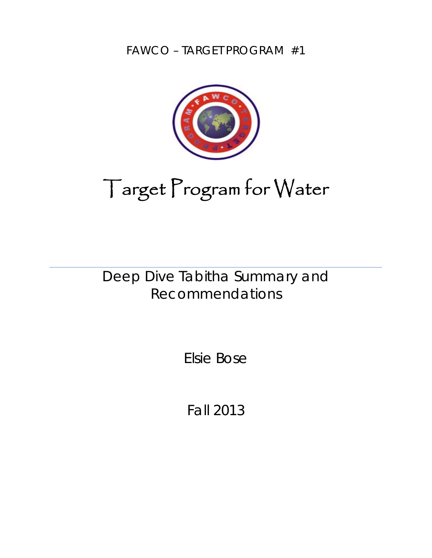FAWCO – TARGET PROGRAM #1



# Target Program for Water

Deep Dive Tabitha Summary and Recommendations

Elsie Bose

Fall 2013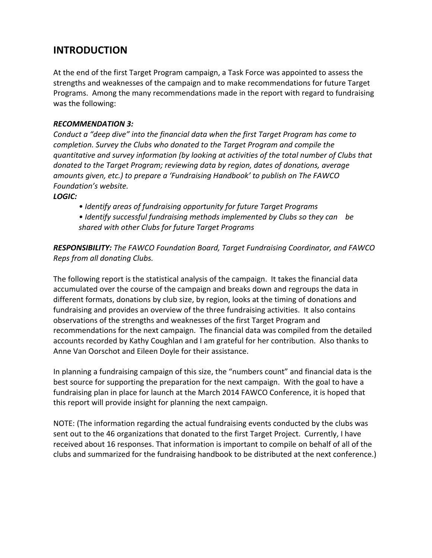# **INTRODUCTION**

At the end of the first Target Program campaign, a Task Force was appointed to assess the strengths and weaknesses of the campaign and to make recommendations for future Target Programs. Among the many recommendations made in the report with regard to fundraising was the following:

#### *RECOMMENDATION 3:*

*Conduct a "deep dive" into the financial data when the first Target Program has come to completion. Survey the Clubs who donated to the Target Program and compile the quantitative and survey information (by looking at activities of the total number of Clubs that donated to the Target Program; reviewing data by region, dates of donations, average amounts given, etc.) to prepare a 'Fundraising Handbook' to publish on The FAWCO Foundation's website.*

#### *LOGIC:*

- *• Identify areas of fundraising opportunity for future Target Programs*
- *• Identify successful fundraising methods implemented by Clubs so they can be shared with other Clubs for future Target Programs*

*RESPONSIBILITY: The FAWCO Foundation Board, Target Fundraising Coordinator, and FAWCO Reps from all donating Clubs.*

The following report is the statistical analysis of the campaign. It takes the financial data accumulated over the course of the campaign and breaks down and regroups the data in different formats, donations by club size, by region, looks at the timing of donations and fundraising and provides an overview of the three fundraising activities. It also contains observations of the strengths and weaknesses of the first Target Program and recommendations for the next campaign. The financial data was compiled from the detailed accounts recorded by Kathy Coughlan and I am grateful for her contribution. Also thanks to Anne Van Oorschot and Eileen Doyle for their assistance.

In planning a fundraising campaign of this size, the "numbers count" and financial data is the best source for supporting the preparation for the next campaign. With the goal to have a fundraising plan in place for launch at the March 2014 FAWCO Conference, it is hoped that this report will provide insight for planning the next campaign.

NOTE: (The information regarding the actual fundraising events conducted by the clubs was sent out to the 46 organizations that donated to the first Target Project. Currently, I have received about 16 responses. That information is important to compile on behalf of all of the clubs and summarized for the fundraising handbook to be distributed at the next conference.)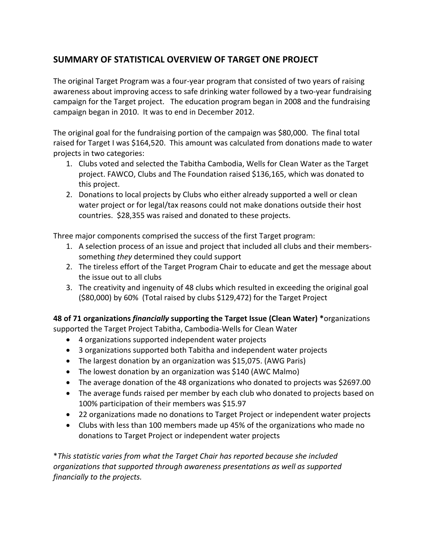### **SUMMARY OF STATISTICAL OVERVIEW OF TARGET ONE PROJECT**

The original Target Program was a four‐year program that consisted of two years of raising awareness about improving access to safe drinking water followed by a two‐year fundraising campaign for the Target project. The education program began in 2008 and the fundraising campaign began in 2010. It was to end in December 2012.

The original goal for the fundraising portion of the campaign was \$80,000. The final total raised for Target I was \$164,520. This amount was calculated from donations made to water projects in two categories:

- 1. Clubs voted and selected the Tabitha Cambodia, Wells for Clean Water as the Target project. FAWCO, Clubs and The Foundation raised \$136,165, which was donated to this project.
- 2. Donations to local projects by Clubs who either already supported a well or clean water project or for legal/tax reasons could not make donations outside their host countries. \$28,355 was raised and donated to these projects.

Three major components comprised the success of the first Target program:

- 1. A selection process of an issue and project that included all clubs and their members‐ something *they* determined they could support
- 2. The tireless effort of the Target Program Chair to educate and get the message about the issue out to all clubs
- 3. The creativity and ingenuity of 48 clubs which resulted in exceeding the original goal (\$80,000) by 60% (Total raised by clubs \$129,472) for the Target Project

**48 of 71 organizations** *financially* **supporting the Target Issue (Clean Water) \***organizations supported the Target Project Tabitha, Cambodia‐Wells for Clean Water

- 4 organizations supported independent water projects
- 3 organizations supported both Tabitha and independent water projects
- The largest donation by an organization was \$15,075. (AWG Paris)
- The lowest donation by an organization was \$140 (AWC Malmo)
- The average donation of the 48 organizations who donated to projects was \$2697.00
- The average funds raised per member by each club who donated to projects based on 100% participation of their members was \$15.97
- 22 organizations made no donations to Target Project or independent water projects
- Clubs with less than 100 members made up 45% of the organizations who made no donations to Target Project or independent water projects

\**This statistic varies from what the Target Chair has reported because she included organizations that supported through awareness presentations as well as supported financially to the projects.*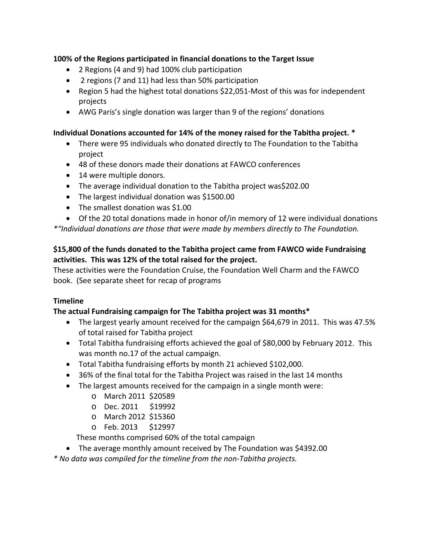#### **100% of the Regions participated in financial donations to the Target Issue**

- 2 Regions (4 and 9) had 100% club participation
- 2 regions (7 and 11) had less than 50% participation
- Region 5 had the highest total donations \$22,051‐Most of this was for independent projects
- AWG Paris's single donation was larger than 9 of the regions' donations

#### **Individual Donations accounted for 14% of the money raised for the Tabitha project. \***

- There were 95 individuals who donated directly to The Foundation to the Tabitha project
- 48 of these donors made their donations at FAWCO conferences
- 14 were multiple donors.
- The average individual donation to the Tabitha project was\$202.00
- The largest individual donation was \$1500.00
- The smallest donation was \$1.00

• Of the 20 total donations made in honor of/in memory of 12 were individual donations

*\*"Individual donations are those that were made by members directly to The Foundation.* 

#### **\$15,800 of the funds donated to the Tabitha project came from FAWCO wide Fundraising activities. This was 12% of the total raised for the project.**

These activities were the Foundation Cruise, the Foundation Well Charm and the FAWCO book. (See separate sheet for recap of programs

#### **Timeline**

#### **The actual Fundraising campaign for The Tabitha project was 31 months\***

- The largest yearly amount received for the campaign \$64,679 in 2011. This was 47.5% of total raised for Tabitha project
- Total Tabitha fundraising efforts achieved the goal of \$80,000 by February 2012. This was month no.17 of the actual campaign.
- Total Tabitha fundraising efforts by month 21 achieved \$102,000.
- 36% of the final total for the Tabitha Project was raised in the last 14 months
- The largest amounts received for the campaign in a single month were:
	- o March 2011 \$20589
	- o Dec. 2011 \$19992
	- o March 2012 \$15360
	- o Feb. 2013 \$12997

These months comprised 60% of the total campaign

• The average monthly amount received by The Foundation was \$4392.00

*\* No data was compiled for the timeline from the non‐Tabitha projects.*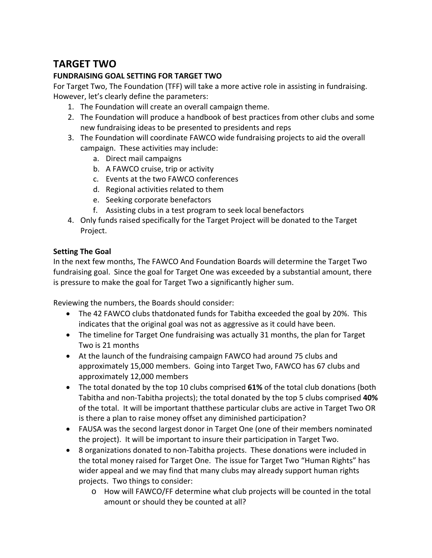# **TARGET TWO**

#### **FUNDRAISING GOAL SETTING FOR TARGET TWO**

For Target Two, The Foundation (TFF) will take a more active role in assisting in fundraising. However, let's clearly define the parameters:

- 1. The Foundation will create an overall campaign theme.
- 2. The Foundation will produce a handbook of best practices from other clubs and some new fundraising ideas to be presented to presidents and reps
- 3. The Foundation will coordinate FAWCO wide fundraising projects to aid the overall campaign. These activities may include:
	- a. Direct mail campaigns
	- b. A FAWCO cruise, trip or activity
	- c. Events at the two FAWCO conferences
	- d. Regional activities related to them
	- e. Seeking corporate benefactors
	- f. Assisting clubs in a test program to seek local benefactors
- 4. Only funds raised specifically for the Target Project will be donated to the Target Project.

#### **Setting The Goal**

In the next few months, The FAWCO And Foundation Boards will determine the Target Two fundraising goal. Since the goal for Target One was exceeded by a substantial amount, there is pressure to make the goal for Target Two a significantly higher sum.

Reviewing the numbers, the Boards should consider:

- The 42 FAWCO clubs thatdonated funds for Tabitha exceeded the goal by 20%. This indicates that the original goal was not as aggressive as it could have been.
- The timeline for Target One fundraising was actually 31 months, the plan for Target Two is 21 months
- At the launch of the fundraising campaign FAWCO had around 75 clubs and approximately 15,000 members. Going into Target Two, FAWCO has 67 clubs and approximately 12,000 members
- The total donated by the top 10 clubs comprised **61%** of the total club donations (both Tabitha and non‐Tabitha projects); the total donated by the top 5 clubs comprised **40%** of the total. It will be important thatthese particular clubs are active in Target Two OR is there a plan to raise money offset any diminished participation?
- FAUSA was the second largest donor in Target One (one of their members nominated the project). It will be important to insure their participation in Target Two.
- 8 organizations donated to non‐Tabitha projects. These donations were included in the total money raised for Target One. The issue for Target Two "Human Rights" has wider appeal and we may find that many clubs may already support human rights projects. Two things to consider:
	- o How will FAWCO/FF determine what club projects will be counted in the total amount or should they be counted at all?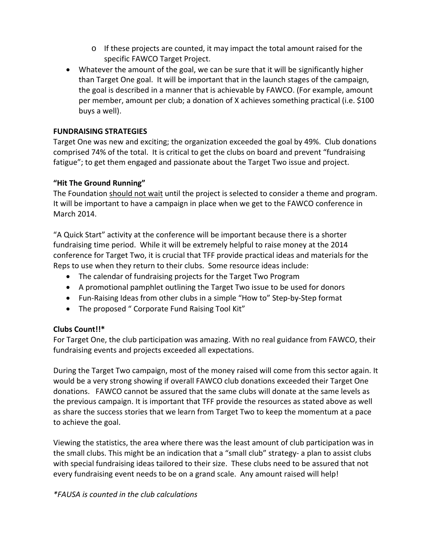- o If these projects are counted, it may impact the total amount raised for the specific FAWCO Target Project.
- Whatever the amount of the goal, we can be sure that it will be significantly higher than Target One goal. It will be important that in the launch stages of the campaign, the goal is described in a manner that is achievable by FAWCO. (For example, amount per member, amount per club; a donation of X achieves something practical (i.e. \$100 buys a well).

#### **FUNDRAISING STRATEGIES**

Target One was new and exciting; the organization exceeded the goal by 49%. Club donations comprised 74% of the total. It is critical to get the clubs on board and prevent "fundraising fatigue"; to get them engaged and passionate about the Target Two issue and project.

#### **"Hit The Ground Running"**

The Foundation should not wait until the project is selected to consider a theme and program. It will be important to have a campaign in place when we get to the FAWCO conference in March 2014.

"A Quick Start" activity at the conference will be important because there is a shorter fundraising time period. While it will be extremely helpful to raise money at the 2014 conference for Target Two, it is crucial that TFF provide practical ideas and materials for the Reps to use when they return to their clubs. Some resource ideas include:

- The calendar of fundraising projects for the Target Two Program
- A promotional pamphlet outlining the Target Two issue to be used for donors
- Fun‐Raising Ideas from other clubs in a simple "How to" Step‐by‐Step format
- The proposed " Corporate Fund Raising Tool Kit"

#### **Clubs Count!!\***

For Target One, the club participation was amazing. With no real guidance from FAWCO, their fundraising events and projects exceeded all expectations.

During the Target Two campaign, most of the money raised will come from this sector again. It would be a very strong showing if overall FAWCO club donations exceeded their Target One donations. FAWCO cannot be assured that the same clubs will donate at the same levels as the previous campaign. It is important that TFF provide the resources as stated above as well as share the success stories that we learn from Target Two to keep the momentum at a pace to achieve the goal.

Viewing the statistics, the area where there was the least amount of club participation was in the small clubs. This might be an indication that a "small club" strategy‐ a plan to assist clubs with special fundraising ideas tailored to their size. These clubs need to be assured that not every fundraising event needs to be on a grand scale. Any amount raised will help!

#### *\*FAUSA is counted in the club calculations*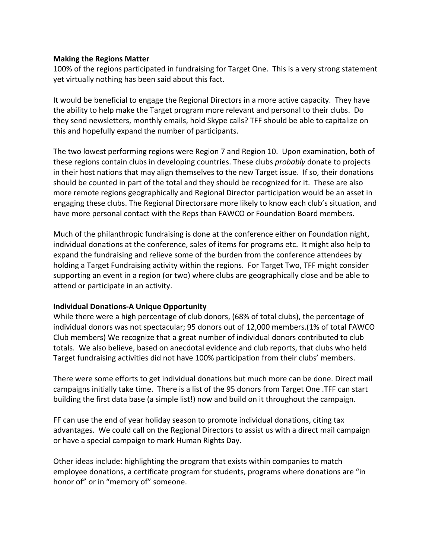#### **Making the Regions Matter**

100% of the regions participated in fundraising for Target One. This is a very strong statement yet virtually nothing has been said about this fact.

It would be beneficial to engage the Regional Directors in a more active capacity. They have the ability to help make the Target program more relevant and personal to their clubs. Do they send newsletters, monthly emails, hold Skype calls? TFF should be able to capitalize on this and hopefully expand the number of participants.

The two lowest performing regions were Region 7 and Region 10. Upon examination, both of these regions contain clubs in developing countries. These clubs *probably* donate to projects in their host nations that may align themselves to the new Target issue. If so, their donations should be counted in part of the total and they should be recognized for it. These are also more remote regions geographically and Regional Director participation would be an asset in engaging these clubs. The Regional Directorsare more likely to know each club's situation, and have more personal contact with the Reps than FAWCO or Foundation Board members.

Much of the philanthropic fundraising is done at the conference either on Foundation night, individual donations at the conference, sales of items for programs etc. It might also help to expand the fundraising and relieve some of the burden from the conference attendees by holding a Target Fundraising activity within the regions. For Target Two, TFF might consider supporting an event in a region (or two) where clubs are geographically close and be able to attend or participate in an activity.

#### **Individual Donations‐A Unique Opportunity**

While there were a high percentage of club donors, (68% of total clubs), the percentage of individual donors was not spectacular; 95 donors out of 12,000 members.(1% of total FAWCO Club members) We recognize that a great number of individual donors contributed to club totals. We also believe, based on anecdotal evidence and club reports, that clubs who held Target fundraising activities did not have 100% participation from their clubs' members.

There were some efforts to get individual donations but much more can be done. Direct mail campaigns initially take time. There is a list of the 95 donors from Target One .TFF can start building the first data base (a simple list!) now and build on it throughout the campaign.

FF can use the end of year holiday season to promote individual donations, citing tax advantages. We could call on the Regional Directors to assist us with a direct mail campaign or have a special campaign to mark Human Rights Day.

Other ideas include: highlighting the program that exists within companies to match employee donations, a certificate program for students, programs where donations are "in honor of" or in "memory of" someone.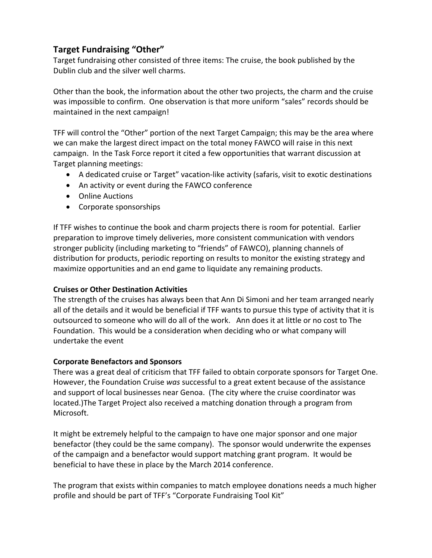## **Target Fundraising "Other"**

Target fundraising other consisted of three items: The cruise, the book published by the Dublin club and the silver well charms.

Other than the book, the information about the other two projects, the charm and the cruise was impossible to confirm. One observation is that more uniform "sales" records should be maintained in the next campaign!

TFF will control the "Other" portion of the next Target Campaign; this may be the area where we can make the largest direct impact on the total money FAWCO will raise in this next campaign. In the Task Force report it cited a few opportunities that warrant discussion at Target planning meetings:

- A dedicated cruise or Target" vacation‐like activity (safaris, visit to exotic destinations
- An activity or event during the FAWCO conference
- Online Auctions
- Corporate sponsorships

If TFF wishes to continue the book and charm projects there is room for potential. Earlier preparation to improve timely deliveries, more consistent communication with vendors stronger publicity (including marketing to "friends" of FAWCO), planning channels of distribution for products, periodic reporting on results to monitor the existing strategy and maximize opportunities and an end game to liquidate any remaining products.

#### **Cruises or Other Destination Activities**

The strength of the cruises has always been that Ann Di Simoni and her team arranged nearly all of the details and it would be beneficial if TFF wants to pursue this type of activity that it is outsourced to someone who will do all of the work. Ann does it at little or no cost to The Foundation. This would be a consideration when deciding who or what company will undertake the event

#### **Corporate Benefactors and Sponsors**

There was a great deal of criticism that TFF failed to obtain corporate sponsors for Target One. However, the Foundation Cruise *was* successful to a great extent because of the assistance and support of local businesses near Genoa. (The city where the cruise coordinator was located.)The Target Project also received a matching donation through a program from Microsoft.

It might be extremely helpful to the campaign to have one major sponsor and one major benefactor (they could be the same company). The sponsor would underwrite the expenses of the campaign and a benefactor would support matching grant program. It would be beneficial to have these in place by the March 2014 conference.

The program that exists within companies to match employee donations needs a much higher profile and should be part of TFF's "Corporate Fundraising Tool Kit"